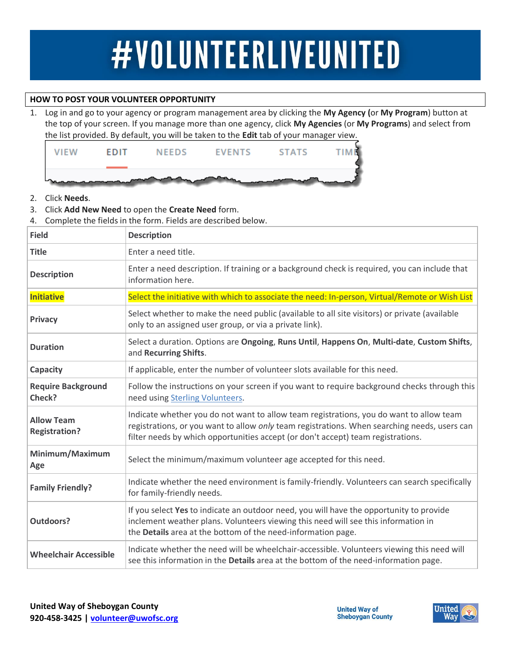## #VOLUNTEERLIVEUNITED

## **HOW TO POST YOUR VOLUNTEER OPPORTUNITY**

1. Log in and go to your agency or program management area by clicking the **My Agency (**or **My Program**) button at the top of your screen. If you manage more than one agency, click **My Agencies** (or **My Programs**) and select from the list provided. By default, you will be taken to the **Edit** tab of your manager view.



- 2. Click **Needs**.
- 3. Click **Add New Need** to open the **Create Need** form.
- 4. Complete the fields in the form. Fields are described below.

| <b>Field</b>                              | <b>Description</b>                                                                                                                                                                                                                                                          |
|-------------------------------------------|-----------------------------------------------------------------------------------------------------------------------------------------------------------------------------------------------------------------------------------------------------------------------------|
| <b>Title</b>                              | Enter a need title.                                                                                                                                                                                                                                                         |
| <b>Description</b>                        | Enter a need description. If training or a background check is required, you can include that<br>information here.                                                                                                                                                          |
| <b>Initiative</b>                         | Select the initiative with which to associate the need: In-person, Virtual/Remote or Wish List                                                                                                                                                                              |
| <b>Privacy</b>                            | Select whether to make the need public (available to all site visitors) or private (available<br>only to an assigned user group, or via a private link).                                                                                                                    |
| <b>Duration</b>                           | Select a duration. Options are Ongoing, Runs Until, Happens On, Multi-date, Custom Shifts,<br>and Recurring Shifts.                                                                                                                                                         |
| Capacity                                  | If applicable, enter the number of volunteer slots available for this need.                                                                                                                                                                                                 |
| <b>Require Background</b><br>Check?       | Follow the instructions on your screen if you want to require background checks through this<br>need using Sterling Volunteers.                                                                                                                                             |
| <b>Allow Team</b><br><b>Registration?</b> | Indicate whether you do not want to allow team registrations, you do want to allow team<br>registrations, or you want to allow only team registrations. When searching needs, users can<br>filter needs by which opportunities accept (or don't accept) team registrations. |
| Minimum/Maximum<br>Age                    | Select the minimum/maximum volunteer age accepted for this need.                                                                                                                                                                                                            |
| <b>Family Friendly?</b>                   | Indicate whether the need environment is family-friendly. Volunteers can search specifically<br>for family-friendly needs.                                                                                                                                                  |
| <b>Outdoors?</b>                          | If you select Yes to indicate an outdoor need, you will have the opportunity to provide<br>inclement weather plans. Volunteers viewing this need will see this information in<br>the Details area at the bottom of the need-information page.                               |
| <b>Wheelchair Accessible</b>              | Indicate whether the need will be wheelchair-accessible. Volunteers viewing this need will<br>see this information in the Details area at the bottom of the need-information page.                                                                                          |